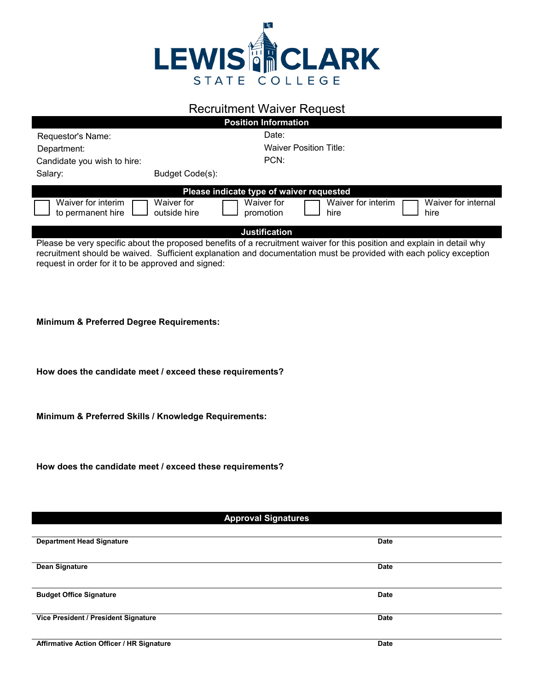

## Recruitment Waiver Request

| <b>Position Information</b>                                                                                             |                               |                         |                            |                             |  |  |
|-------------------------------------------------------------------------------------------------------------------------|-------------------------------|-------------------------|----------------------------|-----------------------------|--|--|
| Requestor's Name:                                                                                                       |                               | Date:                   |                            |                             |  |  |
| Department:                                                                                                             | <b>Waiver Position Title:</b> |                         |                            |                             |  |  |
| Candidate you wish to hire:                                                                                             |                               | PCN:                    |                            |                             |  |  |
| Salary:                                                                                                                 | Budget Code(s):               |                         |                            |                             |  |  |
| Please indicate type of waiver requested                                                                                |                               |                         |                            |                             |  |  |
| Waiver for interim<br>to permanent hire                                                                                 | Waiver for<br>outside hire    | Waiver for<br>promotion | Waiver for interim<br>hire | Waiver for internal<br>hire |  |  |
| <b>Justification</b>                                                                                                    |                               |                         |                            |                             |  |  |
| Please be very specific about the proposed benefits of a recruitment waiver for this position and explain in detail why |                               |                         |                            |                             |  |  |

Please be very specific about the proposed benefits of a recruitment waiver for this position and explain in detail why recruitment should be waived. Sufficient explanation and documentation must be provided with each policy exception request in order for it to be approved and signed:

**Minimum & Preferred Degree Requirements:**

**How does the candidate meet / exceed these requirements?**

**Minimum & Preferred Skills / Knowledge Requirements:**

**How does the candidate meet / exceed these requirements?**

## **Approval Signatures**

| <b>Department Head Signature</b>          | <b>Date</b> |
|-------------------------------------------|-------------|
|                                           |             |
|                                           |             |
|                                           |             |
| Dean Signature                            | <b>Date</b> |
|                                           |             |
|                                           |             |
|                                           |             |
| <b>Budget Office Signature</b>            | <b>Date</b> |
|                                           |             |
|                                           |             |
|                                           |             |
| Vice President / President Signature      | <b>Date</b> |
|                                           |             |
|                                           |             |
|                                           |             |
| Affirmative Action Officer / HR Signature | <b>Date</b> |
|                                           |             |